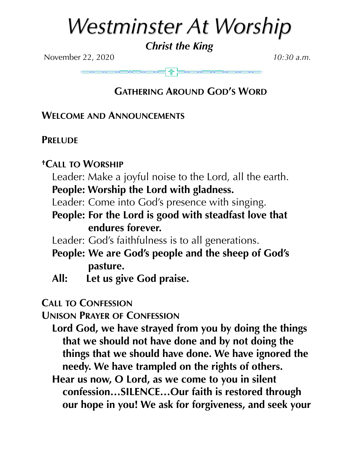# *Westminster At Worship*

# *Christ the King*

November 22, 2020 *10:30 a.m.*

# **GATHERING AROUND GOD'S WORD**

## **WELCOME AND ANNOUNCEMENTS**

## **PRELUDE**

## **†CALL TO WORSHIP**

Leader: Make a joyful noise to the Lord, all the earth.

- **People: Worship the Lord with gladness.**
- Leader: Come into God's presence with singing.
- **People: For the Lord is good with steadfast love that endures forever.**
- Leader: God's faithfulness is to all generations.
- **People: We are God's people and the sheep of God's pasture.**
- **All: Let us give God praise.**

## **CALL TO CONFESSION**

**UNISON PRAYER OF CONFESSION**

- **Lord God, we have strayed from you by doing the things that we should not have done and by not doing the things that we should have done. We have ignored the needy. We have trampled on the rights of others.**
- **Hear us now, O Lord, as we come to you in silent confession…SILENCE…Our faith is restored through our hope in you! We ask for forgiveness, and seek your**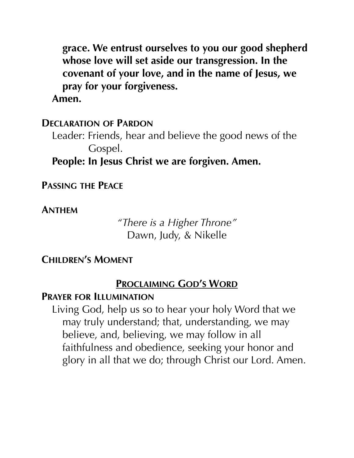**grace. We entrust ourselves to you our good shepherd whose love will set aside our transgression. In the covenant of your love, and in the name of Jesus, we pray for your forgiveness.** 

**Amen.**

#### **DECLARATION OF PARDON**

Leader: Friends, hear and believe the good news of the Gospel.

**People: In Jesus Christ we are forgiven. Amen.** 

**PASSING THE PEACE**

**ANTHEM**

*"There is a Higher Throne"*  Dawn, Judy, & Nikelle

#### **CHILDREN'S MOMENT**

## **PROCLAIMING GOD'S WORD**

#### **PRAYER FOR ILLUMINATION**

Living God, help us so to hear your holy Word that we may truly understand; that, understanding, we may believe, and, believing, we may follow in all faithfulness and obedience, seeking your honor and glory in all that we do; through Christ our Lord. Amen.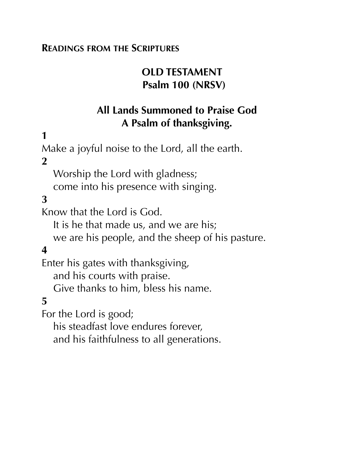## **READINGS FROM THE SCRIPTURES**

# **OLD TESTAMENT Psalm 100 (NRSV)**

# **All Lands Summoned to Praise God A Psalm of thanksgiving.**

# **1**

Make a joyful noise to the Lord, all the earth.

## **2**

Worship the Lord with gladness;

come into his presence with singing.

# **3**

Know that the Lord is God.

It is he that made us, and we are his;

we are his people, and the sheep of his pasture.

## **4**

Enter his gates with thanksgiving,

and his courts with praise.

Give thanks to him, bless his name.

## **5**

For the Lord is good;

his steadfast love endures forever,

and his faithfulness to all generations.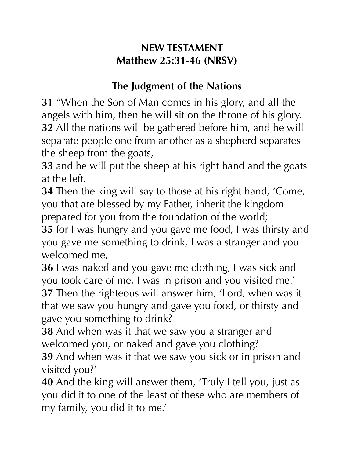# **NEW TESTAMENT Matthew 25:31-46 (NRSV)**

# **The Judgment of the Nations**

**31** "When the Son of Man comes in his glory, and all the angels with him, then he will sit on the throne of his glory. **32** All the nations will be gathered before him, and he will separate people one from another as a shepherd separates the sheep from the goats,

**33** and he will put the sheep at his right hand and the goats at the left.

**34** Then the king will say to those at his right hand, 'Come, you that are blessed by my Father, inherit the kingdom prepared for you from the foundation of the world;

**35** for I was hungry and you gave me food, I was thirsty and you gave me something to drink, I was a stranger and you welcomed me,

**36** I was naked and you gave me clothing, I was sick and you took care of me, I was in prison and you visited me.' **37** Then the righteous will answer him, 'Lord, when was it that we saw you hungry and gave you food, or thirsty and gave you something to drink?

**38** And when was it that we saw you a stranger and welcomed you, or naked and gave you clothing?

**39** And when was it that we saw you sick or in prison and visited you?'

**40** And the king will answer them, 'Truly I tell you, just as you did it to one of the least of these who are members of my family, you did it to me.'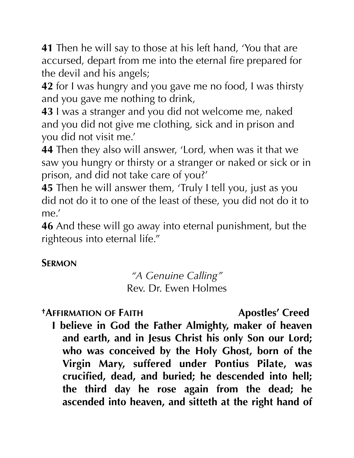**41** Then he will say to those at his left hand, 'You that are accursed, depart from me into the eternal fire prepared for the devil and his angels;

**42** for I was hungry and you gave me no food, I was thirsty and you gave me nothing to drink,

**43** I was a stranger and you did not welcome me, naked and you did not give me clothing, sick and in prison and you did not visit me.'

**44** Then they also will answer, 'Lord, when was it that we saw you hungry or thirsty or a stranger or naked or sick or in prison, and did not take care of you?'

**45** Then he will answer them, 'Truly I tell you, just as you did not do it to one of the least of these, you did not do it to me.'

**46** And these will go away into eternal punishment, but the righteous into eternal life."

# **SERMON**

*"A Genuine Calling"*  Rev. Dr. Ewen Holmes

**†AFFIRMATION OF FAITH Apostles' Creed** 

**I believe in God the Father Almighty, maker of heaven and earth, and in Jesus Christ his only Son our Lord; who was conceived by the Holy Ghost, born of the Virgin Mary, suffered under Pontius Pilate, was crucified, dead, and buried; he descended into hell; the third day he rose again from the dead; he ascended into heaven, and sitteth at the right hand of**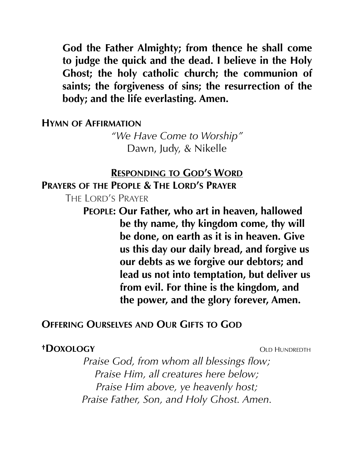**God the Father Almighty; from thence he shall come to judge the quick and the dead. I believe in the Holy Ghost; the holy catholic church; the communion of saints; the forgiveness of sins; the resurrection of the body; and the life everlasting. Amen.** 

#### **HYMN OF AFFIRMATION**

*"We Have Come to Worship"*  Dawn, Judy, & Nikelle

#### **RESPONDING TO GOD'S WORD**

**PRAYERS OF THE PEOPLE & THE LORD'S PRAYER**

THE LORD'S PRAYER

**PEOPLE: Our Father, who art in heaven, hallowed be thy name, thy kingdom come, thy will be done, on earth as it is in heaven. Give us this day our daily bread, and forgive us our debts as we forgive our debtors; and lead us not into temptation, but deliver us from evil. For thine is the kingdom, and the power, and the glory forever, Amen.** 

#### **OFFERING OURSELVES AND OUR GIFTS TO GOD**

#### *†DOXOLOGY* OLD HUNDREDTH

*Praise God, from whom all blessings flow; Praise Him, all creatures here below; Praise Him above, ye heavenly host; Praise Father, Son, and Holy Ghost. Amen.*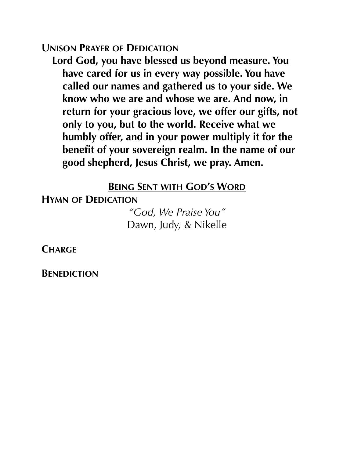#### **UNISON PRAYER OF DEDICATION**

**Lord God, you have blessed us beyond measure. You have cared for us in every way possible. You have called our names and gathered us to your side. We know who we are and whose we are. And now, in return for your gracious love, we offer our gifts, not only to you, but to the world. Receive what we humbly offer, and in your power multiply it for the benefit of your sovereign realm. In the name of our good shepherd, Jesus Christ, we pray. Amen.** 

## **BEING SENT WITH GOD'S WORD**

**HYMN OF DEDICATION** 

*"God, We Praise You"*  Dawn, Judy, & Nikelle

**CHARGE**

**BENEDICTION**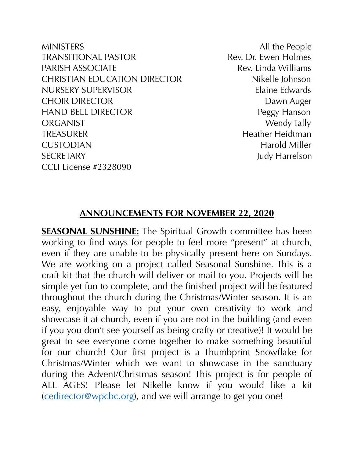MINISTERS All the People TRANSITIONAL PASTOR TRANSITIONAL PASTOR PARISH ASSOCIATE THE Rev. Linda Williams CHRISTIAN EDUCATION DIRECTOR Nikelle Johnson NURSERY SUPERVISOR Elaine Edwards CHOIR DIRECTOR DAWN Auger HAND BELL DIRECTOR Peggy Hanson ORGANIST Wendy Tally TREASURER Heidtman CUSTODIAN Harold Miller SECRETARY Judy Harrelson CCLI License #2328090

#### **ANNOUNCEMENTS FOR NOVEMBER 22, 2020**

**SEASONAL SUNSHINE:** The Spiritual Growth committee has been working to find ways for people to feel more "present" at church, even if they are unable to be physically present here on Sundays. We are working on a project called Seasonal Sunshine. This is a craft kit that the church will deliver or mail to you. Projects will be simple yet fun to complete, and the finished project will be featured throughout the church during the Christmas/Winter season. It is an easy, enjoyable way to put your own creativity to work and showcase it at church, even if you are not in the building (and even if you you don't see yourself as being crafty or creative)! It would be great to see everyone come together to make something beautiful for our church! Our first project is a Thumbprint Snowflake for Christmas/Winter which we want to showcase in the sanctuary during the Advent/Christmas season! This project is for people of ALL AGES! Please let Nikelle know if you would like a kit [\(cedirector@wpcbc.org\)](mailto:cedirector@wpcbc.org), and we will arrange to get you one!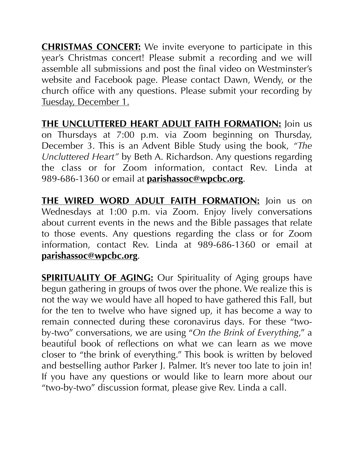**CHRISTMAS CONCERT:** We invite everyone to participate in this year's Christmas concert! Please submit a recording and we will assemble all submissions and post the final video on Westminster's website and Facebook page. Please contact Dawn, Wendy, or the church office with any questions. Please submit your recording by Tuesday, December 1.

**THE UNCLUTTERED HEART ADULT FAITH FORMATION:** Join us on Thursdays at 7:00 p.m. via Zoom beginning on Thursday, December 3. This is an Advent Bible Study using the book, *"The Uncluttered Heart"* by Beth A. Richardson. Any questions regarding the class or for Zoom information, contact Rev. Linda at 989-686-1360 or email at **[parishassoc@wpcbc.org](mailto:parishassoc@wpcbc.org)**.

**THE WIRED WORD ADULT FAITH FORMATION:** Join us on Wednesdays at 1:00 p.m. via Zoom. Enjoy lively conversations about current events in the news and the Bible passages that relate to those events. Any questions regarding the class or for Zoom information, contact Rev. Linda at 989-686-1360 or email at **[parishassoc@wpcbc.org](mailto:parishassoc@wpcbc.org)**.

**SPIRITUALITY OF AGING:** Our Spirituality of Aging groups have begun gathering in groups of twos over the phone. We realize this is not the way we would have all hoped to have gathered this Fall, but for the ten to twelve who have signed up, it has become a way to remain connected during these coronavirus days. For these "twoby-two" conversations, we are using "*On the Brink of Everything*," a beautiful book of reflections on what we can learn as we move closer to "the brink of everything." This book is written by beloved and bestselling author Parker J. Palmer. It's never too late to join in! If you have any questions or would like to learn more about our "two-by-two" discussion format, please give Rev. Linda a call.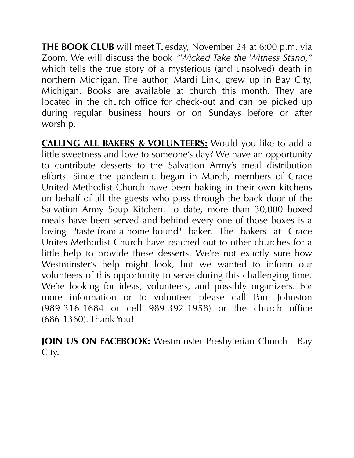**THE BOOK CLUB** will meet Tuesday, November 24 at 6:00 p.m. via Zoom. We will discuss the book *"Wicked Take the Witness Stand,"* which tells the true story of a mysterious (and unsolved) death in northern Michigan. The author, Mardi Link, grew up in Bay City, Michigan. Books are available at church this month. They are located in the church office for check-out and can be picked up during regular business hours or on Sundays before or after worship.

**CALLING ALL BAKERS & VOLUNTEERS:** Would you like to add a little sweetness and love to someone's day? We have an opportunity to contribute desserts to the Salvation Army's meal distribution efforts. Since the pandemic began in March, members of Grace United Methodist Church have been baking in their own kitchens on behalf of all the guests who pass through the back door of the Salvation Army Soup Kitchen. To date, more than 30,000 boxed meals have been served and behind every one of those boxes is a loving "taste-from-a-home-bound" baker. The bakers at Grace Unites Methodist Church have reached out to other churches for a little help to provide these desserts. We're not exactly sure how Westminster's help might look, but we wanted to inform our volunteers of this opportunity to serve during this challenging time. We're looking for ideas, volunteers, and possibly organizers. For more information or to volunteer please call Pam Johnston (989-316-1684 or cell 989-392-1958) or the church office (686-1360). Thank You!

**JOIN US ON FACEBOOK:** Westminster Presbyterian Church - Bay City.